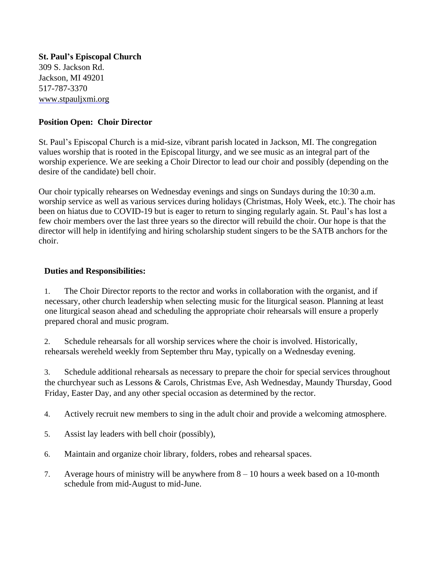**St. Paul's Episcopal Church** 309 S. Jackson Rd. Jackson, MI 49201 517-787-3370 [www.stpauljxmi.org](https://stjohns-episcopal.com/)

## **Position Open: Choir Director**

St. Paul's Episcopal Church is a mid-size, vibrant parish located in Jackson, MI. The congregation values worship that is rooted in the Episcopal liturgy, and we see music as an integral part of the worship experience. We are seeking a Choir Director to lead our choir and possibly (depending on the desire of the candidate) bell choir.

Our choir typically rehearses on Wednesday evenings and sings on Sundays during the 10:30 a.m. worship service as well as various services during holidays (Christmas, Holy Week, etc.). The choir has been on hiatus due to COVID-19 but is eager to return to singing regularly again. St. Paul's has lost a few choir members over the last three years so the director will rebuild the choir. Our hope is that the director will help in identifying and hiring scholarship student singers to be the SATB anchors for the choir.

## **Duties and Responsibilities:**

1. The Choir Director reports to the rector and works in collaboration with the organist, and if necessary, other church leadership when selecting music for the liturgical season. Planning at least one liturgical season ahead and scheduling the appropriate choir rehearsals will ensure a properly prepared choral and music program.

2. Schedule rehearsals for all worship services where the choir is involved. Historically, rehearsals wereheld weekly from September thru May, typically on a Wednesday evening.

3. Schedule additional rehearsals as necessary to prepare the choir for special services throughout the churchyear such as Lessons & Carols, Christmas Eve, Ash Wednesday, Maundy Thursday, Good Friday, Easter Day, and any other special occasion as determined by the rector.

- 4. Actively recruit new members to sing in the adult choir and provide a welcoming atmosphere.
- 5. Assist lay leaders with bell choir (possibly),
- 6. Maintain and organize choir library, folders, robes and rehearsal spaces.
- 7. Average hours of ministry will be anywhere from 8 10 hours a week based on a 10-month schedule from mid-August to mid-June.